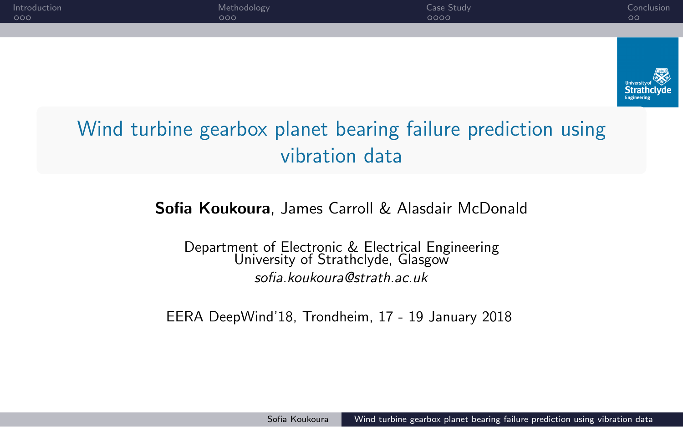

EERA DeepWind'18, Trondheim, 17 - 19 January 2018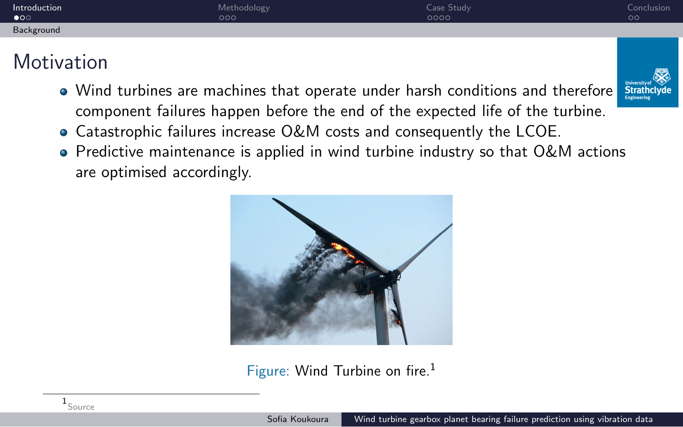| Introduction<br>$\bullet$ | 000                                                                                                                                                                                                           | Methodology                                                           | Case Study<br>0000                                                                  | Conclusion<br>$\circ$ |  |  |
|---------------------------|---------------------------------------------------------------------------------------------------------------------------------------------------------------------------------------------------------------|-----------------------------------------------------------------------|-------------------------------------------------------------------------------------|-----------------------|--|--|
| Background                |                                                                                                                                                                                                               |                                                                       |                                                                                     |                       |  |  |
| <b>Motivation</b>         |                                                                                                                                                                                                               |                                                                       |                                                                                     |                       |  |  |
|                           | <b>University of</b><br>• Wind turbines are machines that operate under harsh conditions and therefore<br><b>Strathclyde</b><br>component failures happen before the end of the expected life of the turbine. |                                                                       |                                                                                     |                       |  |  |
|                           |                                                                                                                                                                                                               | • Catastrophic failures increase O&M costs and consequently the LCOE. |                                                                                     |                       |  |  |
|                           | are optimised accordingly.                                                                                                                                                                                    |                                                                       | • Predictive maintenance is applied in wind turbine industry so that $O\&M$ actions |                       |  |  |



Figure: Wind Turbine on fire.<sup>1</sup>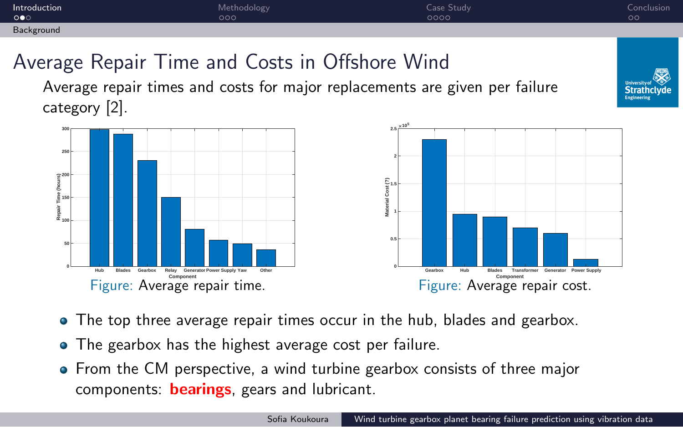

- The top three average repair times occur in the hub, blades and gearbox.
- The gearbox has the highest average cost per failure.
- From the CM perspective, a wind turbine gearbox consists of three major components: **bearings**, gears and lubricant.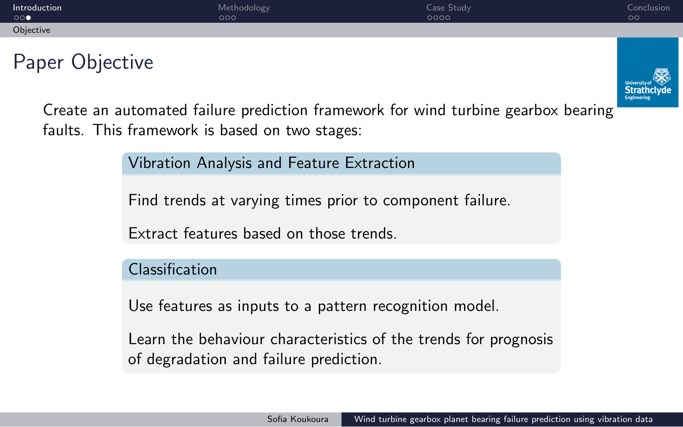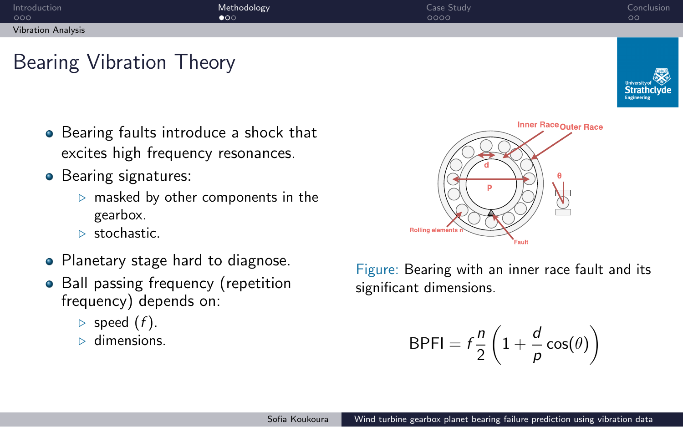

• Ball passing frequency (repetition

frequency) depends on:

*▷* speed (*f* ). *▷* dimensions.

Figure: Bearing with an inner race fault and its significant dimensions.

$$
\mathsf{BPI} = f \frac{n}{2} \left( 1 + \frac{d}{p} \cos(\theta) \right)
$$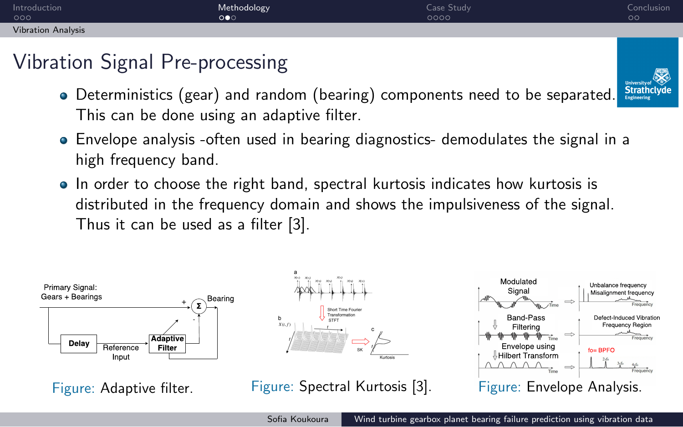| Introduction<br>000       | Methodology<br>$\circ \bullet \circ$                                                                                                                                                                       | Case Study<br>0000 | Conclusion<br>$\circ$ |
|---------------------------|------------------------------------------------------------------------------------------------------------------------------------------------------------------------------------------------------------|--------------------|-----------------------|
| <b>Vibration Analysis</b> |                                                                                                                                                                                                            |                    |                       |
|                           | Vibration Signal Pre-processing                                                                                                                                                                            |                    |                       |
|                           | • Deterministics (gear) and random (bearing) components need to be separated.                                                                                                                              |                    | <b>Strathclyde</b>    |
|                           | This can be done using an adaptive filter.                                                                                                                                                                 |                    |                       |
|                           | • Envelope analysis -often used in bearing diagnostics- demodulates the signal in a<br>high frequency band.                                                                                                |                    |                       |
|                           | • In order to choose the right band, spectral kurtosis indicates how kurtosis is<br>distributed in the frequency domain and shows the impulsiveness of the signal.<br>Thus it can be used as a filter [3]. |                    |                       |
|                           |                                                                                                                                                                                                            |                    |                       |



Sofia Koukoura Nuind turbine gearbox planet bearing failure prediction using vibration data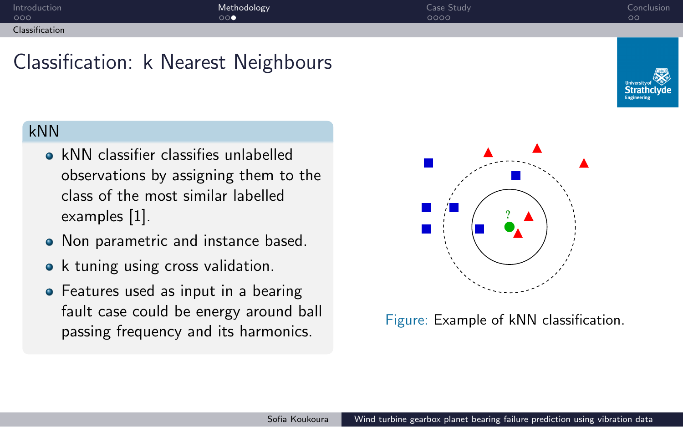

**•** Features used as input in a bearing fault case could be energy around ball passing frequency and its harmonics.

Figure: Example of kNN classification.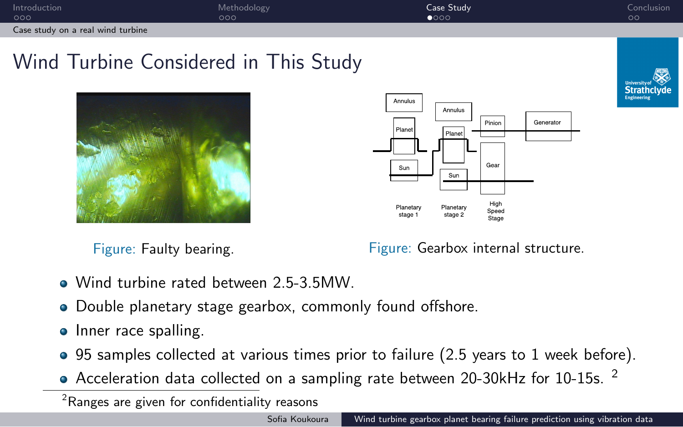

Figure: Faulty bearing. The South of Figure: Gearbox internal structure.

- Wind turbine rated between 2.5-3.5MW.
- Double planetary stage gearbox, commonly found offshore.
- Inner race spalling.
- 95 samples collected at various times prior to failure (2.5 years to 1 week before).
- Acceleration data collected on a sampling rate between 20-30kHz for 10-15s. <sup>2</sup>

 $2$ Ranges are given for confidentiality reasons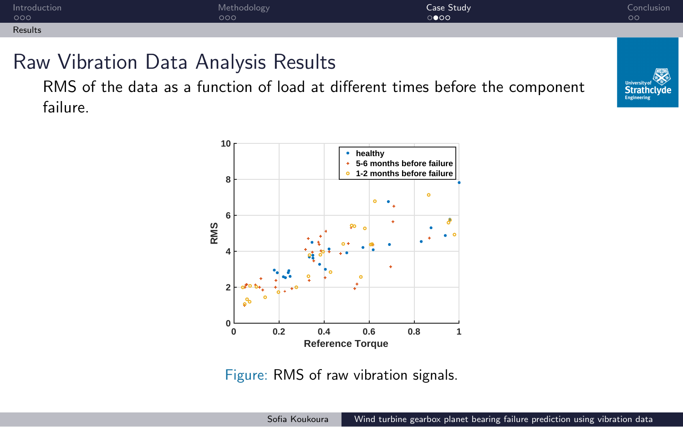

RMS of the data as a function of load at different times before the component failure.



Figure: RMS of raw vibration signals.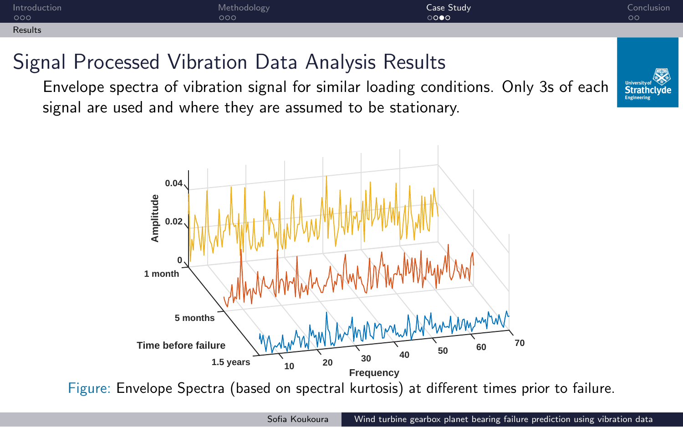

Sofia Koukoura Nuind turbine gearbox planet bearing failure prediction using vibration data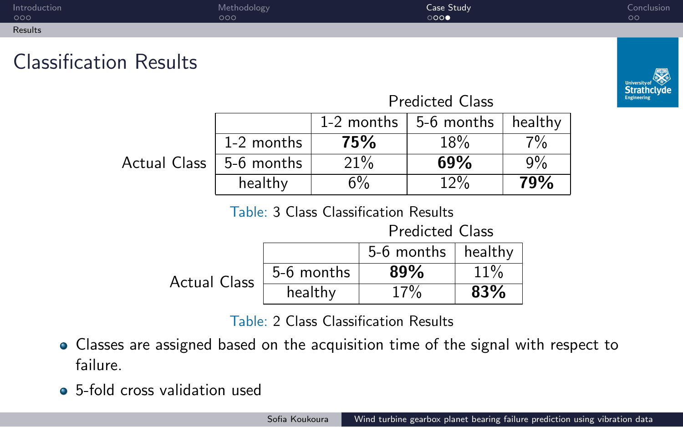| Introduction<br>000                                                                        | Methodology<br>000 |            |            |            | Case Study<br>000      |         |                            | Conclusion<br>$\circ$ |  |
|--------------------------------------------------------------------------------------------|--------------------|------------|------------|------------|------------------------|---------|----------------------------|-----------------------|--|
| Results                                                                                    |                    |            |            |            |                        |         |                            |                       |  |
| <b>Classification Results</b>                                                              |                    |            |            |            |                        |         |                            |                       |  |
| <b>Predicted Class</b>                                                                     |                    |            |            |            |                        |         | Strathclyde<br>Engineering |                       |  |
|                                                                                            |                    |            | 1-2 months | 5-6 months |                        |         | healthy                    |                       |  |
|                                                                                            | 1-2 months         |            | 75%        |            | 18%                    |         | $7\%$                      |                       |  |
| Actual Class                                                                               | 5-6 months         |            |            | 21%        |                        | 69%     | 9%                         |                       |  |
|                                                                                            | healthy            |            | 6%         |            | 12%                    |         | 79%                        |                       |  |
| <b>Table: 3 Class Classification Results</b>                                               |                    |            |            |            |                        |         |                            |                       |  |
|                                                                                            |                    |            |            |            | <b>Predicted Class</b> |         |                            |                       |  |
|                                                                                            |                    |            |            |            | 5-6 months             | healthy |                            |                       |  |
| <b>Actual Class</b>                                                                        |                    | 5-6 months |            | 89%        |                        | 11%     |                            |                       |  |
|                                                                                            |                    | healthy    |            |            | 17%                    | 83%     |                            |                       |  |
| Table: 2 Class Classification Results                                                      |                    |            |            |            |                        |         |                            |                       |  |
| $\bullet$ Classes are assigned based on the acquisition time of the signal with respect to |                    |            |            |            |                        |         |                            |                       |  |

- ses are assigned based on the acquisition time of the signal with resp failure.
- 5-fold cross validation used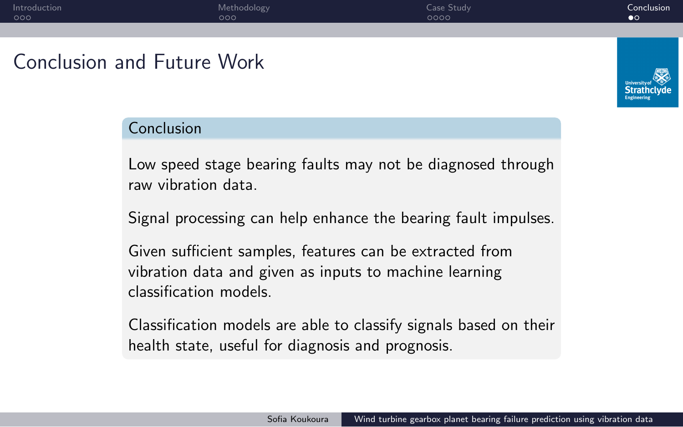

Sofia Koukoura Wind turbine gearbox planet bearing failure prediction using vibration data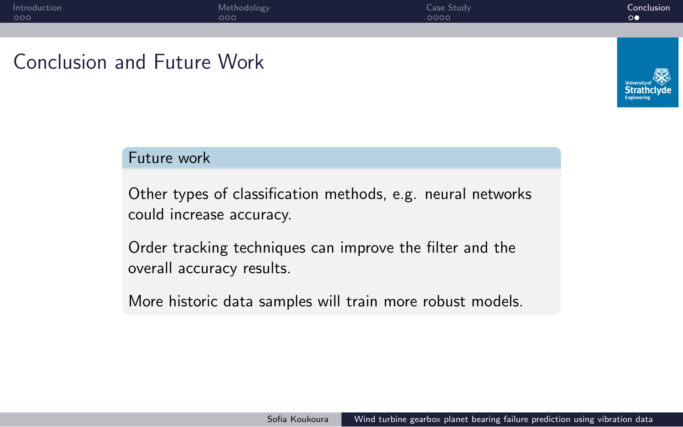

overall accuracy results.

More historic data samples will train more robust models.